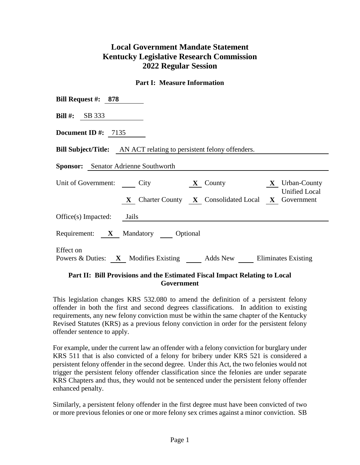# **Local Government Mandate Statement Kentucky Legislative Research Commission 2022 Regular Session**

#### **Part I: Measure Information**

| Bill Request #: $878$                                                                                                                        |  |  |  |  |  |  |
|----------------------------------------------------------------------------------------------------------------------------------------------|--|--|--|--|--|--|
| Bill #: $SB 333$                                                                                                                             |  |  |  |  |  |  |
| Document ID #: $7135$                                                                                                                        |  |  |  |  |  |  |
| <b>Bill Subject/Title:</b> AN ACT relating to persistent felony offenders.                                                                   |  |  |  |  |  |  |
| <b>Sponsor:</b> Senator Adrienne Southworth                                                                                                  |  |  |  |  |  |  |
| Unit of Government: City <b>X</b> County <b>X</b> Urban-County<br><b>Unified Local</b><br>X Charter County X Consolidated Local X Government |  |  |  |  |  |  |
| $Office(s)$ Impacted: Jails                                                                                                                  |  |  |  |  |  |  |
| Requirement: X Mandatory Optional                                                                                                            |  |  |  |  |  |  |
| Effect on<br>Powers & Duties: X Modifies Existing Adds New Eliminates Existing                                                               |  |  |  |  |  |  |

#### **Part II: Bill Provisions and the Estimated Fiscal Impact Relating to Local Government**

This legislation changes KRS 532.080 to amend the definition of a persistent felony offender in both the first and second degrees classifications. In addition to existing requirements, any new felony conviction must be within the same chapter of the Kentucky Revised Statutes (KRS) as a previous felony conviction in order for the persistent felony offender sentence to apply.

For example, under the current law an offender with a felony conviction for burglary under KRS 511 that is also convicted of a felony for bribery under KRS 521 is considered a persistent felony offender in the second degree. Under this Act, the two felonies would not trigger the persistent felony offender classification since the felonies are under separate KRS Chapters and thus, they would not be sentenced under the persistent felony offender enhanced penalty.

Similarly, a persistent felony offender in the first degree must have been convicted of two or more previous felonies or one or more felony sex crimes against a minor conviction. SB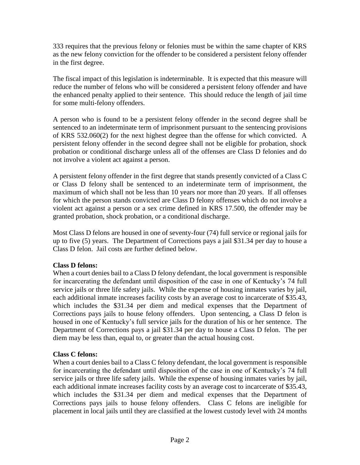333 requires that the previous felony or felonies must be within the same chapter of KRS as the new felony conviction for the offender to be considered a persistent felony offender in the first degree.

The fiscal impact of this legislation is indeterminable. It is expected that this measure will reduce the number of felons who will be considered a persistent felony offender and have the enhanced penalty applied to their sentence. This should reduce the length of jail time for some multi-felony offenders.

A person who is found to be a persistent felony offender in the second degree shall be sentenced to an indeterminate term of imprisonment pursuant to the sentencing provisions of KRS 532.060(2) for the next highest degree than the offense for which convicted. A persistent felony offender in the second degree shall not be eligible for probation, shock probation or conditional discharge unless all of the offenses are Class D felonies and do not involve a violent act against a person.

A persistent felony offender in the first degree that stands presently convicted of a Class C or Class D felony shall be sentenced to an indeterminate term of imprisonment, the maximum of which shall not be less than 10 years nor more than 20 years. If all offenses for which the person stands convicted are Class D felony offenses which do not involve a violent act against a person or a sex crime defined in KRS 17.500, the offender may be granted probation, shock probation, or a conditional discharge.

Most Class D felons are housed in one of seventy-four (74) full service or regional jails for up to five (5) years. The Department of Corrections pays a jail \$31.34 per day to house a Class D felon. Jail costs are further defined below.

#### **Class D felons:**

When a court denies bail to a Class D felony defendant, the local government is responsible for incarcerating the defendant until disposition of the case in one of Kentucky's 74 full service jails or three life safety jails. While the expense of housing inmates varies by jail, each additional inmate increases facility costs by an average cost to incarcerate of \$35.43, which includes the \$31.34 per diem and medical expenses that the Department of Corrections pays jails to house felony offenders. Upon sentencing, a Class D felon is housed in one of Kentucky's full service jails for the duration of his or her sentence. The Department of Corrections pays a jail \$31.34 per day to house a Class D felon. The per diem may be less than, equal to, or greater than the actual housing cost.

## **Class C felons:**

When a court denies bail to a Class C felony defendant, the local government is responsible for incarcerating the defendant until disposition of the case in one of Kentucky's 74 full service jails or three life safety jails. While the expense of housing inmates varies by jail, each additional inmate increases facility costs by an average cost to incarcerate of \$35.43, which includes the \$31.34 per diem and medical expenses that the Department of Corrections pays jails to house felony offenders. Class C felons are ineligible for placement in local jails until they are classified at the lowest custody level with 24 months